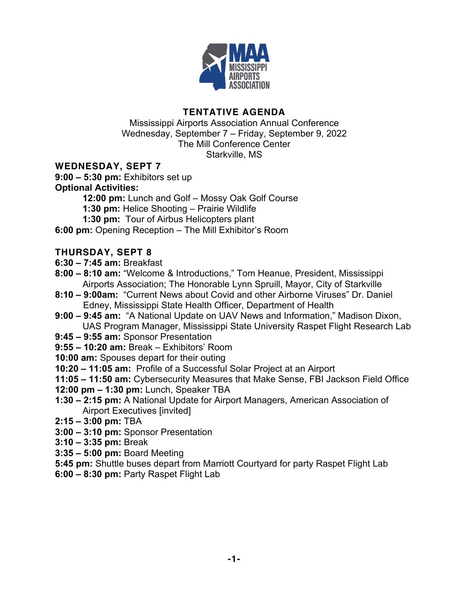

## **TENTATIVE AGENDA**

Mississippi Airports Association Annual Conference Wednesday, September 7 – Friday, September 9, 2022 The Mill Conference Center Starkville, MS

### **WEDNESDAY, SEPT 7**

**9:00 – 5:30 pm:** Exhibitors set up

# **Optional Activities:**

**12:00 pm:** Lunch and Golf – Mossy Oak Golf Course

**1:30 pm:** Helice Shooting – Prairie Wildlife

**1:30 pm:** Tour of Airbus Helicopters plant

**6:00 pm:** Opening Reception – The Mill Exhibitor's Room

### **THURSDAY, SEPT 8**

- **6:30 – 7:45 am:** Breakfast
- **8:00 – 8:10 am:** "Welcome & Introductions," Tom Heanue, President, Mississippi Airports Association; The Honorable Lynn Spruill, Mayor, City of Starkville
- **8:10 – 9:00am:** "Current News about Covid and other Airborne Viruses" Dr. Daniel Edney, Mississippi State Health Officer, Department of Health
- **9:00 – 9:45 am:** "A National Update on UAV News and Information," Madison Dixon, UAS Program Manager, Mississippi State University Raspet Flight Research Lab
- **9:45 – 9:55 am:** Sponsor Presentation
- **9:55 – 10:20 am:** Break Exhibitors' Room
- **10:00 am:** Spouses depart for their outing
- **10:20 – 11:05 am:** Profile of a Successful Solar Project at an Airport
- **11:05 – 11:50 am:** Cybersecurity Measures that Make Sense, FBI Jackson Field Office
- **12:00 pm – 1:30 pm:** Lunch, Speaker TBA
- **1:30 – 2:15 pm:** A National Update for Airport Managers, American Association of Airport Executives [invited]
- **2:15 – 3:00 pm:** TBA
- **3:00 – 3:10 pm:** Sponsor Presentation
- **3:10 – 3:35 pm:** Break
- **3:35 – 5:00 pm:** Board Meeting
- **5:45 pm:** Shuttle buses depart from Marriott Courtyard for party Raspet Flight Lab
- **6:00 – 8:30 pm:** Party Raspet Flight Lab